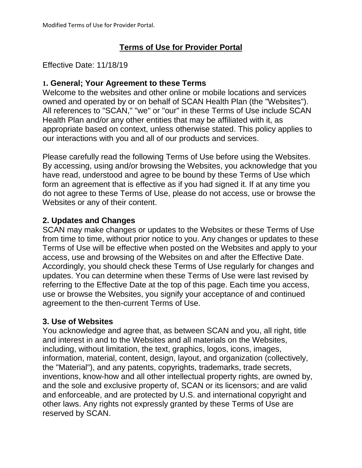## **Terms of Use for Provider Portal**

### Effective Date: 11/18/19

### **1. General; Your Agreement to these Terms**

Welcome to the websites and other online or mobile locations and services owned and operated by or on behalf of SCAN Health Plan (the "Websites"). All references to "SCAN," "we" or "our" in these Terms of Use include SCAN Health Plan and/or any other entities that may be affiliated with it, as appropriate based on context, unless otherwise stated. This policy applies to our interactions with you and all of our products and services.

Please carefully read the following Terms of Use before using the Websites. By accessing, using and/or browsing the Websites, you acknowledge that you have read, understood and agree to be bound by these Terms of Use which form an agreement that is effective as if you had signed it. If at any time you do not agree to these Terms of Use, please do not access, use or browse the Websites or any of their content.

## **2. Updates and Changes**

SCAN may make changes or updates to the Websites or these Terms of Use from time to time, without prior notice to you. Any changes or updates to these Terms of Use will be effective when posted on the Websites and apply to your access, use and browsing of the Websites on and after the Effective Date. Accordingly, you should check these Terms of Use regularly for changes and updates. You can determine when these Terms of Use were last revised by referring to the Effective Date at the top of this page. Each time you access, use or browse the Websites, you signify your acceptance of and continued agreement to the then-current Terms of Use.

### **3. Use of Websites**

You acknowledge and agree that, as between SCAN and you, all right, title and interest in and to the Websites and all materials on the Websites, including, without limitation, the text, graphics, logos, icons, images, information, material, content, design, layout, and organization (collectively, the "Material"), and any patents, copyrights, trademarks, trade secrets, inventions, know-how and all other intellectual property rights, are owned by, and the sole and exclusive property of, SCAN or its licensors; and are valid and enforceable, and are protected by U.S. and international copyright and other laws. Any rights not expressly granted by these Terms of Use are reserved by SCAN.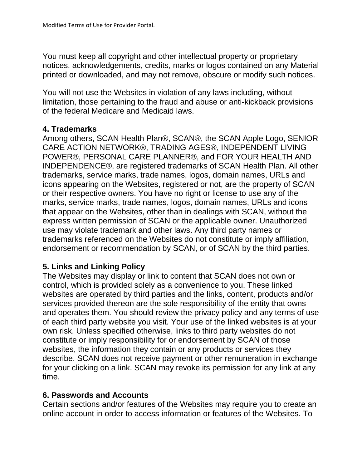You must keep all copyright and other intellectual property or proprietary notices, acknowledgements, credits, marks or logos contained on any Material printed or downloaded, and may not remove, obscure or modify such notices.

You will not use the Websites in violation of any laws including, without limitation, those pertaining to the fraud and abuse or anti-kickback provisions of the federal Medicare and Medicaid laws.

### **4. Trademarks**

Among others, SCAN Health Plan®, SCAN®, the SCAN Apple Logo, SENIOR CARE ACTION NETWORK®, TRADING AGES®, INDEPENDENT LIVING POWER®, PERSONAL CARE PLANNER®, and FOR YOUR HEALTH AND INDEPENDENCE®, are registered trademarks of SCAN Health Plan. All other trademarks, service marks, trade names, logos, domain names, URLs and icons appearing on the Websites, registered or not, are the property of SCAN or their respective owners. You have no right or license to use any of the marks, service marks, trade names, logos, domain names, URLs and icons that appear on the Websites, other than in dealings with SCAN, without the express written permission of SCAN or the applicable owner. Unauthorized use may violate trademark and other laws. Any third party names or trademarks referenced on the Websites do not constitute or imply affiliation, endorsement or recommendation by SCAN, or of SCAN by the third parties.

# **5. Links and Linking Policy**

The Websites may display or link to content that SCAN does not own or control, which is provided solely as a convenience to you. These linked websites are operated by third parties and the links, content, products and/or services provided thereon are the sole responsibility of the entity that owns and operates them. You should review the privacy policy and any terms of use of each third party website you visit. Your use of the linked websites is at your own risk. Unless specified otherwise, links to third party websites do not constitute or imply responsibility for or endorsement by SCAN of those websites, the information they contain or any products or services they describe. SCAN does not receive payment or other remuneration in exchange for your clicking on a link. SCAN may revoke its permission for any link at any time.

### **6. Passwords and Accounts**

Certain sections and/or features of the Websites may require you to create an online account in order to access information or features of the Websites. To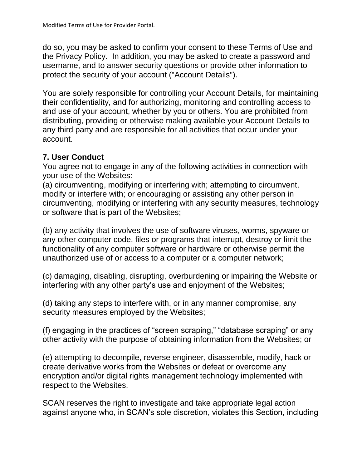do so, you may be asked to confirm your consent to these Terms of Use and the Privacy Policy. In addition, you may be asked to create a password and username, and to answer security questions or provide other information to protect the security of your account ("Account Details").

You are solely responsible for controlling your Account Details, for maintaining their confidentiality, and for authorizing, monitoring and controlling access to and use of your account, whether by you or others. You are prohibited from distributing, providing or otherwise making available your Account Details to any third party and are responsible for all activities that occur under your account.

# **7. User Conduct**

You agree not to engage in any of the following activities in connection with your use of the Websites:

(a) circumventing, modifying or interfering with; attempting to circumvent, modify or interfere with; or encouraging or assisting any other person in circumventing, modifying or interfering with any security measures, technology or software that is part of the Websites;

(b) any activity that involves the use of software viruses, worms, spyware or any other computer code, files or programs that interrupt, destroy or limit the functionality of any computer software or hardware or otherwise permit the unauthorized use of or access to a computer or a computer network;

(c) damaging, disabling, disrupting, overburdening or impairing the Website or interfering with any other party's use and enjoyment of the Websites;

(d) taking any steps to interfere with, or in any manner compromise, any security measures employed by the Websites;

(f) engaging in the practices of "screen scraping," "database scraping" or any other activity with the purpose of obtaining information from the Websites; or

(e) attempting to decompile, reverse engineer, disassemble, modify, hack or create derivative works from the Websites or defeat or overcome any encryption and/or digital rights management technology implemented with respect to the Websites.

SCAN reserves the right to investigate and take appropriate legal action against anyone who, in SCAN's sole discretion, violates this Section, including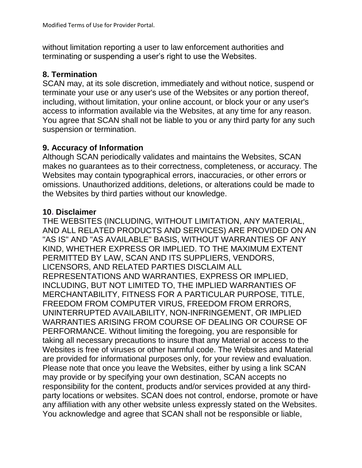without limitation reporting a user to law enforcement authorities and terminating or suspending a user's right to use the Websites.

### **8. Termination**

SCAN may, at its sole discretion, immediately and without notice, suspend or terminate your use or any user's use of the Websites or any portion thereof, including, without limitation, your online account, or block your or any user's access to information available via the Websites, at any time for any reason. You agree that SCAN shall not be liable to you or any third party for any such suspension or termination.

### **9. Accuracy of Information**

Although SCAN periodically validates and maintains the Websites, SCAN makes no guarantees as to their correctness, completeness, or accuracy. The Websites may contain typographical errors, inaccuracies, or other errors or omissions. Unauthorized additions, deletions, or alterations could be made to the Websites by third parties without our knowledge.

#### **10. Disclaimer**

THE WEBSITES (INCLUDING, WITHOUT LIMITATION, ANY MATERIAL, AND ALL RELATED PRODUCTS AND SERVICES) ARE PROVIDED ON AN "AS IS" AND "AS AVAILABLE" BASIS, WITHOUT WARRANTIES OF ANY KIND, WHETHER EXPRESS OR IMPLIED. TO THE MAXIMUM EXTENT PERMITTED BY LAW, SCAN AND ITS SUPPLIERS, VENDORS, LICENSORS, AND RELATED PARTIES DISCLAIM ALL REPRESENTATIONS AND WARRANTIES, EXPRESS OR IMPLIED, INCLUDING, BUT NOT LIMITED TO, THE IMPLIED WARRANTIES OF MERCHANTABILITY, FITNESS FOR A PARTICULAR PURPOSE, TITLE, FREEDOM FROM COMPUTER VIRUS, FREEDOM FROM ERRORS, UNINTERRUPTED AVAILABILITY, NON-INFRINGEMENT, OR IMPLIED WARRANTIES ARISING FROM COURSE OF DEALING OR COURSE OF PERFORMANCE. Without limiting the foregoing, you are responsible for taking all necessary precautions to insure that any Material or access to the Websites is free of viruses or other harmful code. The Websites and Material are provided for informational purposes only, for your review and evaluation. Please note that once you leave the Websites, either by using a link SCAN may provide or by specifying your own destination, SCAN accepts no responsibility for the content, products and/or services provided at any thirdparty locations or websites. SCAN does not control, endorse, promote or have any affiliation with any other website unless expressly stated on the Websites. You acknowledge and agree that SCAN shall not be responsible or liable,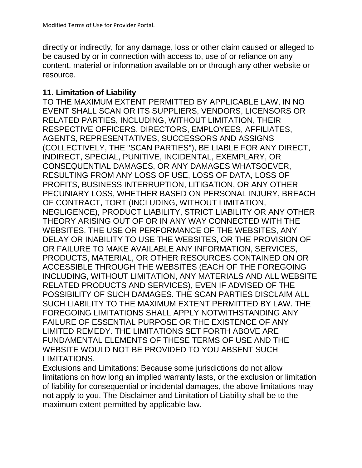directly or indirectly, for any damage, loss or other claim caused or alleged to be caused by or in connection with access to, use of or reliance on any content, material or information available on or through any other website or resource.

#### **11. Limitation of Liability**

TO THE MAXIMUM EXTENT PERMITTED BY APPLICABLE LAW, IN NO EVENT SHALL SCAN OR ITS SUPPLIERS, VENDORS, LICENSORS OR RELATED PARTIES, INCLUDING, WITHOUT LIMITATION, THEIR RESPECTIVE OFFICERS, DIRECTORS, EMPLOYEES, AFFILIATES, AGENTS, REPRESENTATIVES, SUCCESSORS AND ASSIGNS (COLLECTIVELY, THE "SCAN PARTIES"), BE LIABLE FOR ANY DIRECT, INDIRECT, SPECIAL, PUNITIVE, INCIDENTAL, EXEMPLARY, OR CONSEQUENTIAL DAMAGES, OR ANY DAMAGES WHATSOEVER, RESULTING FROM ANY LOSS OF USE, LOSS OF DATA, LOSS OF PROFITS, BUSINESS INTERRUPTION, LITIGATION, OR ANY OTHER PECUNIARY LOSS, WHETHER BASED ON PERSONAL INJURY, BREACH OF CONTRACT, TORT (INCLUDING, WITHOUT LIMITATION, NEGLIGENCE), PRODUCT LIABILITY, STRICT LIABILITY OR ANY OTHER THEORY ARISING OUT OF OR IN ANY WAY CONNECTED WITH THE WEBSITES, THE USE OR PERFORMANCE OF THE WEBSITES, ANY DELAY OR INABILITY TO USE THE WEBSITES, OR THE PROVISION OF OR FAILURE TO MAKE AVAILABLE ANY INFORMATION, SERVICES, PRODUCTS, MATERIAL, OR OTHER RESOURCES CONTAINED ON OR ACCESSIBLE THROUGH THE WEBSITES (EACH OF THE FOREGOING INCLUDING, WITHOUT LIMITATION, ANY MATERIALS AND ALL WEBSITE RELATED PRODUCTS AND SERVICES), EVEN IF ADVISED OF THE POSSIBILITY OF SUCH DAMAGES. THE SCAN PARTIES DISCLAIM ALL SUCH LIABILITY TO THE MAXIMUM EXTENT PERMITTED BY LAW. THE FOREGOING LIMITATIONS SHALL APPLY NOTWITHSTANDING ANY FAILURE OF ESSENTIAL PURPOSE OR THE EXISTENCE OF ANY LIMITED REMEDY. THE LIMITATIONS SET FORTH ABOVE ARE FUNDAMENTAL ELEMENTS OF THESE TERMS OF USE AND THE WEBSITE WOULD NOT BE PROVIDED TO YOU ABSENT SUCH LIMITATIONS.

Exclusions and Limitations: Because some jurisdictions do not allow limitations on how long an implied warranty lasts, or the exclusion or limitation of liability for consequential or incidental damages, the above limitations may not apply to you. The Disclaimer and Limitation of Liability shall be to the maximum extent permitted by applicable law.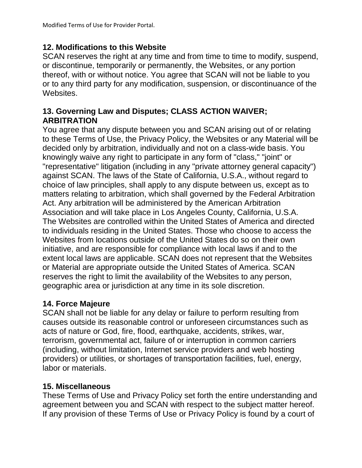## **12. Modifications to this Website**

SCAN reserves the right at any time and from time to time to modify, suspend, or discontinue, temporarily or permanently, the Websites, or any portion thereof, with or without notice. You agree that SCAN will not be liable to you or to any third party for any modification, suspension, or discontinuance of the Websites.

## **13. Governing Law and Disputes; CLASS ACTION WAIVER; ARBITRATION**

You agree that any dispute between you and SCAN arising out of or relating to these Terms of Use, the Privacy Policy, the Websites or any Material will be decided only by arbitration, individually and not on a class-wide basis. You knowingly waive any right to participate in any form of "class," "joint" or "representative" litigation (including in any "private attorney general capacity") against SCAN. The laws of the State of California, U.S.A., without regard to choice of law principles, shall apply to any dispute between us, except as to matters relating to arbitration, which shall governed by the Federal Arbitration Act. Any arbitration will be administered by the American Arbitration Association and will take place in Los Angeles County, California, U.S.A. The Websites are controlled within the United States of America and directed to individuals residing in the United States. Those who choose to access the Websites from locations outside of the United States do so on their own initiative, and are responsible for compliance with local laws if and to the extent local laws are applicable. SCAN does not represent that the Websites or Material are appropriate outside the United States of America. SCAN reserves the right to limit the availability of the Websites to any person, geographic area or jurisdiction at any time in its sole discretion.

# **14. Force Majeure**

SCAN shall not be liable for any delay or failure to perform resulting from causes outside its reasonable control or unforeseen circumstances such as acts of nature or God, fire, flood, earthquake, accidents, strikes, war, terrorism, governmental act, failure of or interruption in common carriers (including, without limitation, Internet service providers and web hosting providers) or utilities, or shortages of transportation facilities, fuel, energy, labor or materials.

# **15. Miscellaneous**

These Terms of Use and Privacy Policy set forth the entire understanding and agreement between you and SCAN with respect to the subject matter hereof. If any provision of these Terms of Use or Privacy Policy is found by a court of